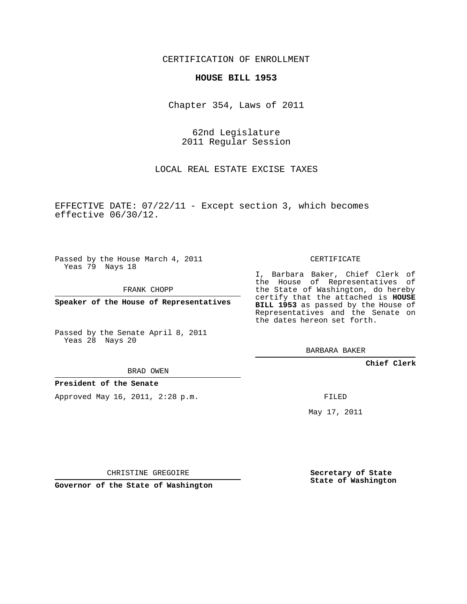CERTIFICATION OF ENROLLMENT

## **HOUSE BILL 1953**

Chapter 354, Laws of 2011

62nd Legislature 2011 Regular Session

LOCAL REAL ESTATE EXCISE TAXES

EFFECTIVE DATE: 07/22/11 - Except section 3, which becomes effective 06/30/12.

Passed by the House March 4, 2011 Yeas 79 Nays 18

FRANK CHOPP

**Speaker of the House of Representatives**

Passed by the Senate April 8, 2011 Yeas 28 Nays 20

BRAD OWEN

**President of the Senate**

Approved May 16, 2011, 2:28 p.m.

CERTIFICATE

I, Barbara Baker, Chief Clerk of the House of Representatives of the State of Washington, do hereby certify that the attached is **HOUSE BILL 1953** as passed by the House of Representatives and the Senate on the dates hereon set forth.

BARBARA BAKER

**Chief Clerk**

FILED

May 17, 2011

**Secretary of State State of Washington**

CHRISTINE GREGOIRE

**Governor of the State of Washington**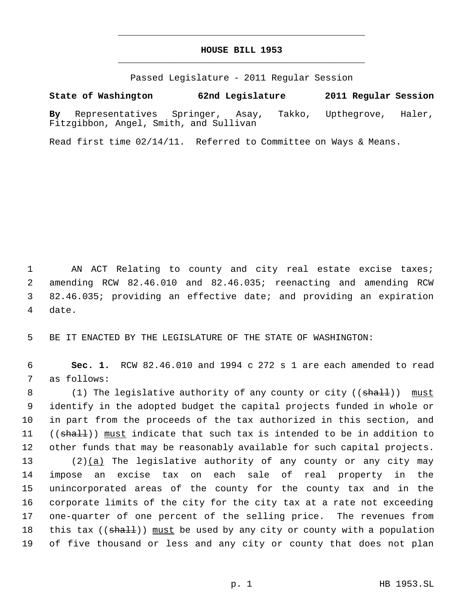## **HOUSE BILL 1953** \_\_\_\_\_\_\_\_\_\_\_\_\_\_\_\_\_\_\_\_\_\_\_\_\_\_\_\_\_\_\_\_\_\_\_\_\_\_\_\_\_\_\_\_\_

\_\_\_\_\_\_\_\_\_\_\_\_\_\_\_\_\_\_\_\_\_\_\_\_\_\_\_\_\_\_\_\_\_\_\_\_\_\_\_\_\_\_\_\_\_

Passed Legislature - 2011 Regular Session

## **State of Washington 62nd Legislature 2011 Regular Session**

**By** Representatives Springer, Asay, Takko, Upthegrove, Haler, Fitzgibbon, Angel, Smith, and Sullivan

Read first time 02/14/11. Referred to Committee on Ways & Means.

1 AN ACT Relating to county and city real estate excise taxes; 2 amending RCW 82.46.010 and 82.46.035; reenacting and amending RCW 3 82.46.035; providing an effective date; and providing an expiration 4 date.

5 BE IT ENACTED BY THE LEGISLATURE OF THE STATE OF WASHINGTON:

 6 **Sec. 1.** RCW 82.46.010 and 1994 c 272 s 1 are each amended to read 7 as follows:

8 (1) The legislative authority of any county or city ((shall)) must 9 identify in the adopted budget the capital projects funded in whole or 10 in part from the proceeds of the tax authorized in this section, and 11 ((shall)) must indicate that such tax is intended to be in addition to 12 other funds that may be reasonably available for such capital projects.

 $(2)(a)$  The legislative authority of any county or any city may impose an excise tax on each sale of real property in the unincorporated areas of the county for the county tax and in the corporate limits of the city for the city tax at a rate not exceeding one-quarter of one percent of the selling price. The revenues from 18 this tax ((shall)) must be used by any city or county with a population of five thousand or less and any city or county that does not plan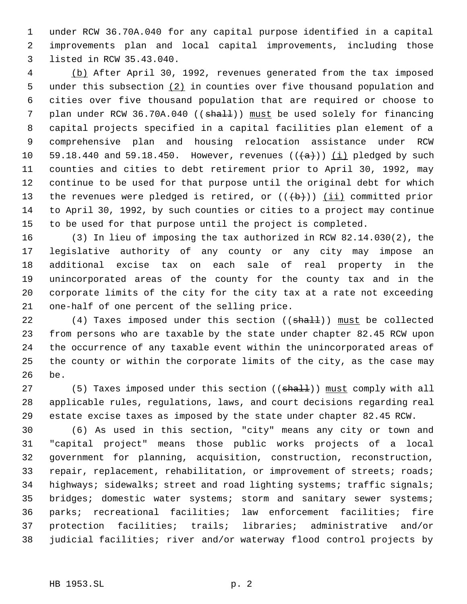under RCW 36.70A.040 for any capital purpose identified in a capital improvements plan and local capital improvements, including those listed in RCW 35.43.040.

 (b) After April 30, 1992, revenues generated from the tax imposed 5 under this subsection (2) in counties over five thousand population and cities over five thousand population that are required or choose to 7 plan under RCW 36.70A.040 ((shall)) must be used solely for financing capital projects specified in a capital facilities plan element of a comprehensive plan and housing relocation assistance under RCW 10 59.18.440 and 59.18.450. However, revenues  $((a+))$  (i) pledged by such counties and cities to debt retirement prior to April 30, 1992, may continue to be used for that purpose until the original debt for which 13 the revenues were pledged is retired, or  $((+b))$  (ii) committed prior to April 30, 1992, by such counties or cities to a project may continue to be used for that purpose until the project is completed.

 (3) In lieu of imposing the tax authorized in RCW 82.14.030(2), the legislative authority of any county or any city may impose an additional excise tax on each sale of real property in the unincorporated areas of the county for the county tax and in the corporate limits of the city for the city tax at a rate not exceeding one-half of one percent of the selling price.

22 (4) Taxes imposed under this section ((shall)) must be collected from persons who are taxable by the state under chapter 82.45 RCW upon the occurrence of any taxable event within the unincorporated areas of the county or within the corporate limits of the city, as the case may be.

27 (5) Taxes imposed under this section ((shall)) must comply with all applicable rules, regulations, laws, and court decisions regarding real estate excise taxes as imposed by the state under chapter 82.45 RCW.

 (6) As used in this section, "city" means any city or town and "capital project" means those public works projects of a local government for planning, acquisition, construction, reconstruction, 33 repair, replacement, rehabilitation, or improvement of streets; roads; highways; sidewalks; street and road lighting systems; traffic signals; 35 bridges; domestic water systems; storm and sanitary sewer systems; parks; recreational facilities; law enforcement facilities; fire protection facilities; trails; libraries; administrative and/or judicial facilities; river and/or waterway flood control projects by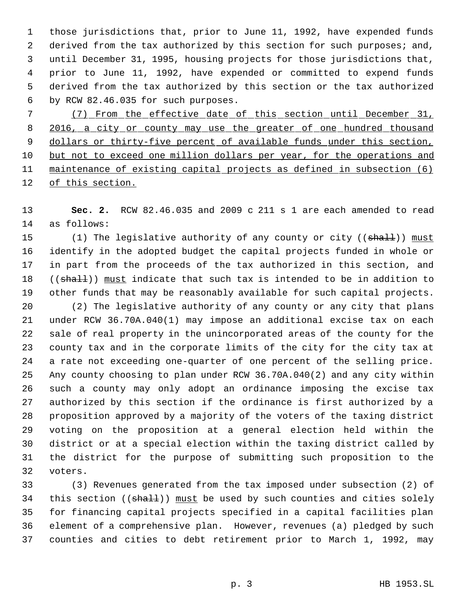those jurisdictions that, prior to June 11, 1992, have expended funds 2 derived from the tax authorized by this section for such purposes; and, until December 31, 1995, housing projects for those jurisdictions that, prior to June 11, 1992, have expended or committed to expend funds derived from the tax authorized by this section or the tax authorized by RCW 82.46.035 for such purposes.

 (7) From the effective date of this section until December 31, 8 2016, a city or county may use the greater of one hundred thousand 9 dollars or thirty-five percent of available funds under this section, but not to exceed one million dollars per year, for the operations and maintenance of existing capital projects as defined in subsection (6) 12 of this section.

 **Sec. 2.** RCW 82.46.035 and 2009 c 211 s 1 are each amended to read as follows:

15 (1) The legislative authority of any county or city ((shall)) must identify in the adopted budget the capital projects funded in whole or in part from the proceeds of the tax authorized in this section, and 18 ((shall)) must indicate that such tax is intended to be in addition to other funds that may be reasonably available for such capital projects.

 (2) The legislative authority of any county or any city that plans under RCW 36.70A.040(1) may impose an additional excise tax on each sale of real property in the unincorporated areas of the county for the county tax and in the corporate limits of the city for the city tax at a rate not exceeding one-quarter of one percent of the selling price. Any county choosing to plan under RCW 36.70A.040(2) and any city within such a county may only adopt an ordinance imposing the excise tax authorized by this section if the ordinance is first authorized by a proposition approved by a majority of the voters of the taxing district voting on the proposition at a general election held within the district or at a special election within the taxing district called by the district for the purpose of submitting such proposition to the voters.

 (3) Revenues generated from the tax imposed under subsection (2) of 34 this section ((shall)) must be used by such counties and cities solely for financing capital projects specified in a capital facilities plan element of a comprehensive plan. However, revenues (a) pledged by such counties and cities to debt retirement prior to March 1, 1992, may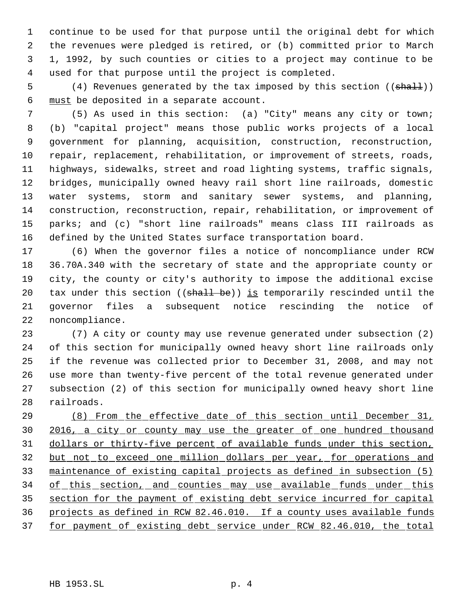continue to be used for that purpose until the original debt for which the revenues were pledged is retired, or (b) committed prior to March 1, 1992, by such counties or cities to a project may continue to be used for that purpose until the project is completed.

5 (4) Revenues generated by the tax imposed by this section ((shall)) must be deposited in a separate account.

 (5) As used in this section: (a) "City" means any city or town; (b) "capital project" means those public works projects of a local government for planning, acquisition, construction, reconstruction, repair, replacement, rehabilitation, or improvement of streets, roads, highways, sidewalks, street and road lighting systems, traffic signals, bridges, municipally owned heavy rail short line railroads, domestic water systems, storm and sanitary sewer systems, and planning, construction, reconstruction, repair, rehabilitation, or improvement of parks; and (c) "short line railroads" means class III railroads as defined by the United States surface transportation board.

 (6) When the governor files a notice of noncompliance under RCW 36.70A.340 with the secretary of state and the appropriate county or city, the county or city's authority to impose the additional excise 20 tax under this section ((shall be)) is temporarily rescinded until the governor files a subsequent notice rescinding the notice of noncompliance.

 (7) A city or county may use revenue generated under subsection (2) of this section for municipally owned heavy short line railroads only if the revenue was collected prior to December 31, 2008, and may not use more than twenty-five percent of the total revenue generated under subsection (2) of this section for municipally owned heavy short line railroads.

 (8) From the effective date of this section until December 31, 2016, a city or county may use the greater of one hundred thousand dollars or thirty-five percent of available funds under this section, but not to exceed one million dollars per year, for operations and maintenance of existing capital projects as defined in subsection (5) 34 of this section, and counties may use available funds under this section for the payment of existing debt service incurred for capital projects as defined in RCW 82.46.010. If a county uses available funds for payment of existing debt service under RCW 82.46.010, the total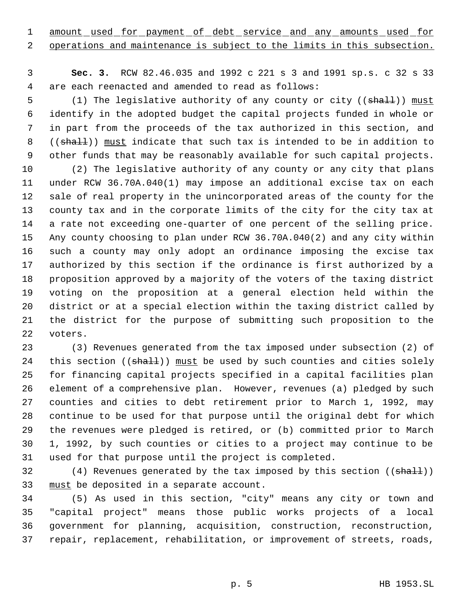1 amount used for payment of debt service and any amounts used for

operations and maintenance is subject to the limits in this subsection.

 **Sec. 3.** RCW 82.46.035 and 1992 c 221 s 3 and 1991 sp.s. c 32 s 33 are each reenacted and amended to read as follows:

5 (1) The legislative authority of any county or city ((shall)) must identify in the adopted budget the capital projects funded in whole or in part from the proceeds of the tax authorized in this section, and 8 ((shall)) must indicate that such tax is intended to be in addition to other funds that may be reasonably available for such capital projects.

 (2) The legislative authority of any county or any city that plans under RCW 36.70A.040(1) may impose an additional excise tax on each sale of real property in the unincorporated areas of the county for the county tax and in the corporate limits of the city for the city tax at a rate not exceeding one-quarter of one percent of the selling price. Any county choosing to plan under RCW 36.70A.040(2) and any city within such a county may only adopt an ordinance imposing the excise tax authorized by this section if the ordinance is first authorized by a proposition approved by a majority of the voters of the taxing district voting on the proposition at a general election held within the district or at a special election within the taxing district called by the district for the purpose of submitting such proposition to the voters.

 (3) Revenues generated from the tax imposed under subsection (2) of 24 this section ((shall)) must be used by such counties and cities solely for financing capital projects specified in a capital facilities plan element of a comprehensive plan. However, revenues (a) pledged by such counties and cities to debt retirement prior to March 1, 1992, may continue to be used for that purpose until the original debt for which the revenues were pledged is retired, or (b) committed prior to March 1, 1992, by such counties or cities to a project may continue to be used for that purpose until the project is completed.

32 (4) Revenues generated by the tax imposed by this section ((shall)) 33 must be deposited in a separate account.

 (5) As used in this section, "city" means any city or town and "capital project" means those public works projects of a local government for planning, acquisition, construction, reconstruction, repair, replacement, rehabilitation, or improvement of streets, roads,